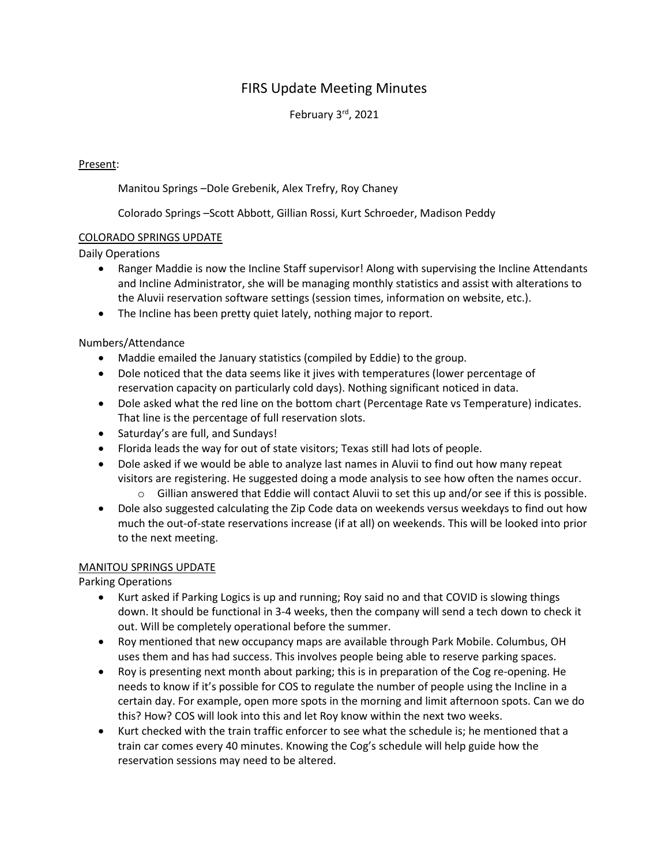# FIRS Update Meeting Minutes

February 3rd, 2021

## Present:

Manitou Springs –Dole Grebenik, Alex Trefry, Roy Chaney

Colorado Springs –Scott Abbott, Gillian Rossi, Kurt Schroeder, Madison Peddy

### COLORADO SPRINGS UPDATE

Daily Operations

- Ranger Maddie is now the Incline Staff supervisor! Along with supervising the Incline Attendants and Incline Administrator, she will be managing monthly statistics and assist with alterations to the Aluvii reservation software settings (session times, information on website, etc.).
- The Incline has been pretty quiet lately, nothing major to report.

### Numbers/Attendance

- Maddie emailed the January statistics (compiled by Eddie) to the group.
- Dole noticed that the data seems like it jives with temperatures (lower percentage of reservation capacity on particularly cold days). Nothing significant noticed in data.
- Dole asked what the red line on the bottom chart (Percentage Rate vs Temperature) indicates. That line is the percentage of full reservation slots.
- Saturday's are full, and Sundays!
- Florida leads the way for out of state visitors; Texas still had lots of people.
- Dole asked if we would be able to analyze last names in Aluvii to find out how many repeat visitors are registering. He suggested doing a mode analysis to see how often the names occur.
	- o Gillian answered that Eddie will contact Aluvii to set this up and/or see if this is possible.
- Dole also suggested calculating the Zip Code data on weekends versus weekdays to find out how much the out-of-state reservations increase (if at all) on weekends. This will be looked into prior to the next meeting.

#### MANITOU SPRINGS UPDATE

Parking Operations

- Kurt asked if Parking Logics is up and running; Roy said no and that COVID is slowing things down. It should be functional in 3-4 weeks, then the company will send a tech down to check it out. Will be completely operational before the summer.
- Roy mentioned that new occupancy maps are available through Park Mobile. Columbus, OH uses them and has had success. This involves people being able to reserve parking spaces.
- Roy is presenting next month about parking; this is in preparation of the Cog re-opening. He needs to know if it's possible for COS to regulate the number of people using the Incline in a certain day. For example, open more spots in the morning and limit afternoon spots. Can we do this? How? COS will look into this and let Roy know within the next two weeks.
- Kurt checked with the train traffic enforcer to see what the schedule is; he mentioned that a train car comes every 40 minutes. Knowing the Cog's schedule will help guide how the reservation sessions may need to be altered.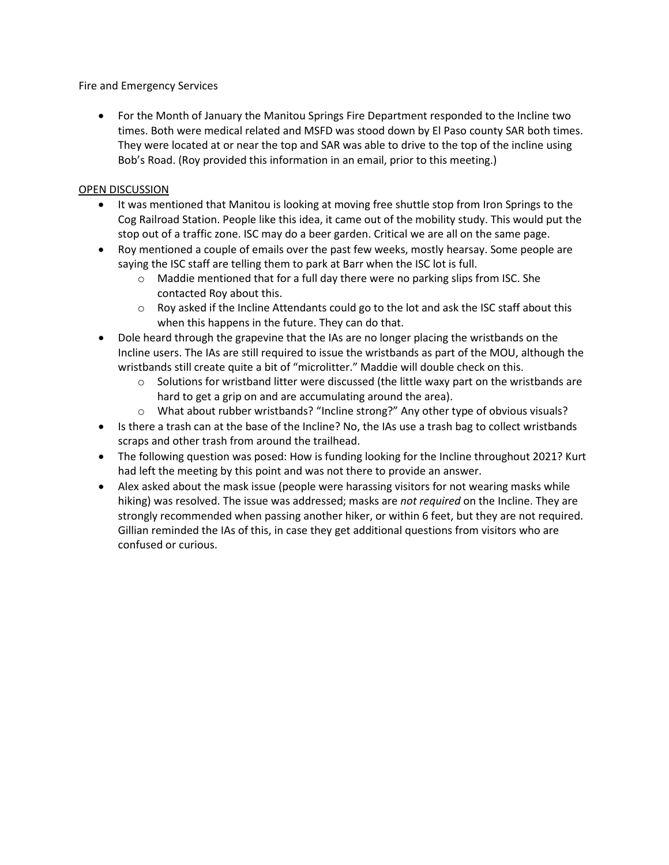Fire and Emergency Services

• For the Month of January the Manitou Springs Fire Department responded to the Incline two times. Both were medical related and MSFD was stood down by El Paso county SAR both times. They were located at or near the top and SAR was able to drive to the top of the incline using Bob's Road. (Roy provided this information in an email, prior to this meeting.)

#### OPEN DISCUSSION

- It was mentioned that Manitou is looking at moving free shuttle stop from Iron Springs to the Cog Railroad Station. People like this idea, it came out of the mobility study. This would put the stop out of a traffic zone. ISC may do a beer garden. Critical we are all on the same page.
- Roy mentioned a couple of emails over the past few weeks, mostly hearsay. Some people are saying the ISC staff are telling them to park at Barr when the ISC lot is full.
	- $\circ$  Maddie mentioned that for a full day there were no parking slips from ISC. She contacted Roy about this.
	- $\circ$  Roy asked if the Incline Attendants could go to the lot and ask the ISC staff about this when this happens in the future. They can do that.
- Dole heard through the grapevine that the IAs are no longer placing the wristbands on the Incline users. The IAs are still required to issue the wristbands as part of the MOU, although the wristbands still create quite a bit of "microlitter." Maddie will double check on this.
	- $\circ$  Solutions for wristband litter were discussed (the little waxy part on the wristbands are hard to get a grip on and are accumulating around the area).
	- o What about rubber wristbands? "Incline strong?" Any other type of obvious visuals?
- Is there a trash can at the base of the Incline? No, the IAs use a trash bag to collect wristbands scraps and other trash from around the trailhead.
- The following question was posed: How is funding looking for the Incline throughout 2021? Kurt had left the meeting by this point and was not there to provide an answer.
- Alex asked about the mask issue (people were harassing visitors for not wearing masks while hiking) was resolved. The issue was addressed; masks are *not required* on the Incline. They are strongly recommended when passing another hiker, or within 6 feet, but they are not required. Gillian reminded the IAs of this, in case they get additional questions from visitors who are confused or curious.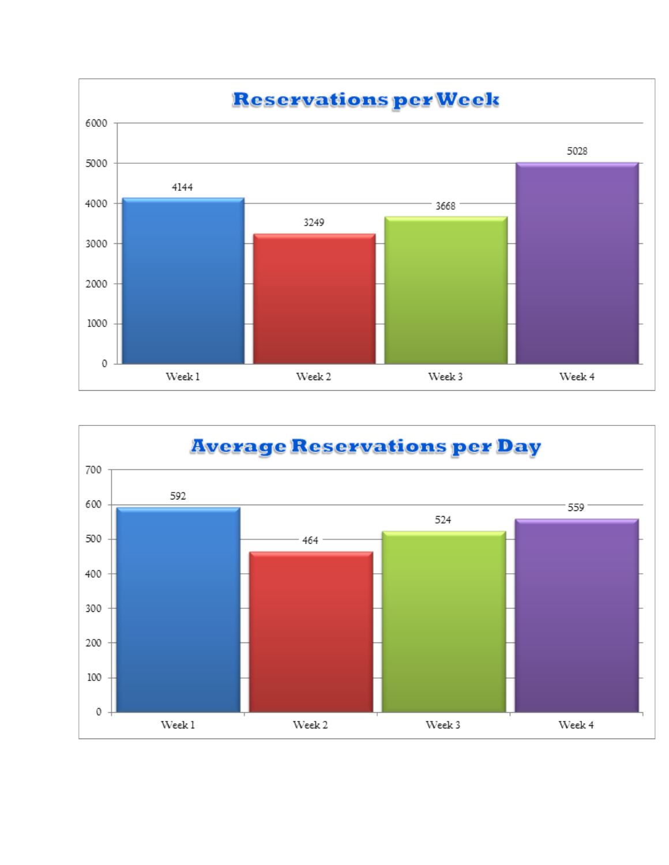

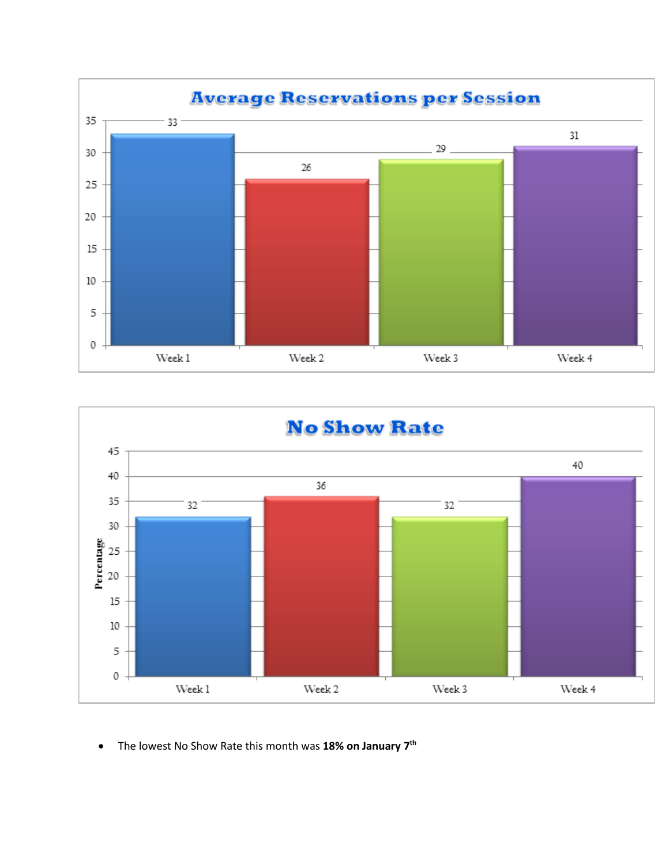



• The lowest No Show Rate this month was **18% on January 7th**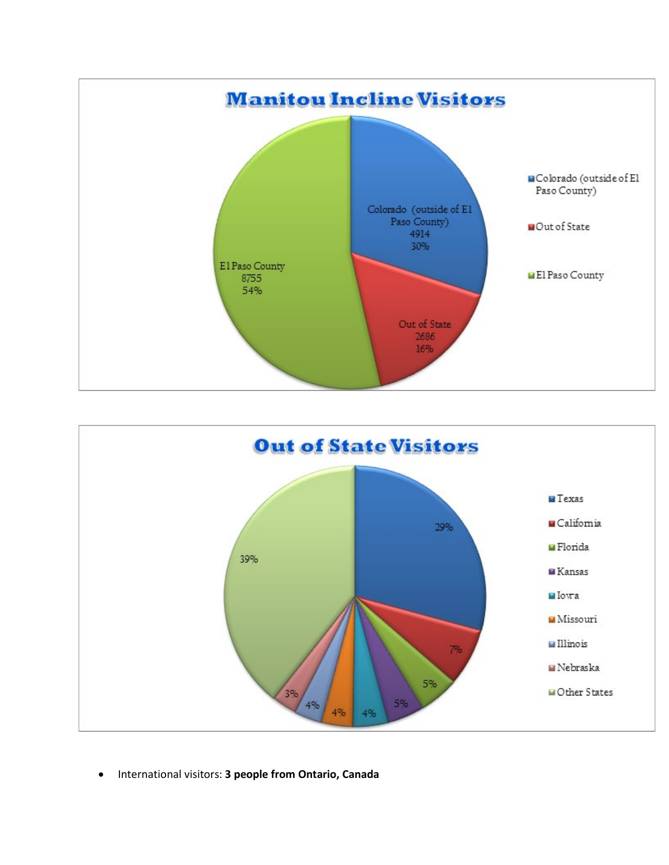



• International visitors: **3 people from Ontario, Canada**